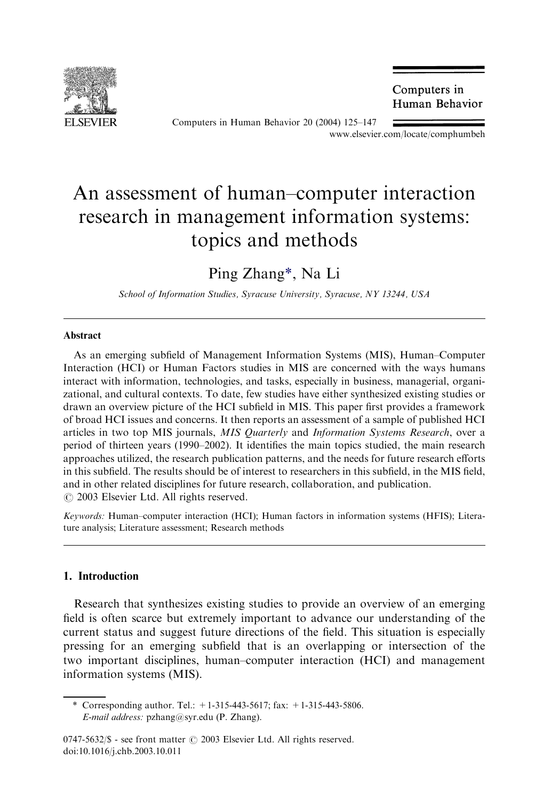

Computers in Human Behavior 20 (2004) 125–147

Computers in Human Behavior

[www.elsevier.com/locate/comphumbeh](http://www.elsevier.com/locate/comphumbeh/a4.3d)

## An assessment of human–computer interaction research in management information systems: topics and methods

Ping Zhang\*, Na Li

School of Information Studies, Syracuse University, Syracuse, NY 13244, USA

## **Abstract**

As an emerging subfield of Management Information Systems (MIS), Human–Computer Interaction (HCI) or Human Factors studies in MIS are concerned with the ways humans interact with information, technologies, and tasks, especially in business, managerial, organizational, and cultural contexts. To date, few studies have either synthesized existing studies or drawn an overview picture of the HCI subfield in MIS. This paper first provides a framework of broad HCI issues and concerns. It then reports an assessment of a sample of published HCI articles in two top MIS journals, MIS Quarterly and Information Systems Research, over a period of thirteen years (1990–2002). It identifies the main topics studied, the main research approaches utilized, the research publication patterns, and the needs for future research efforts in this subfield. The results should be of interest to researchers in this subfield, in the MIS field, and in other related disciplines for future research, collaboration, and publication.  $\odot$  2003 Elsevier Ltd. All rights reserved.

Keywords: Human–computer interaction (HCI); Human factors in information systems (HFIS); Literature analysis; Literature assessment; Research methods

## 1. Introduction

Research that synthesizes existing studies to provide an overview of an emerging field is often scarce but extremely important to advance our understanding of the current status and suggest future directions of the field. This situation is especially pressing for an emerging subfield that is an overlapping or intersection of the two important disciplines, human–computer interaction (HCI) and management information systems (MIS).

<sup>\*</sup> Corresponding author. Tel.:  $+1-315-443-5617$ ; fax:  $+1-315-443-5806$ . E-mail address: [pzhang@syr.edu](mailto:pzhang@syr.edu) (P. Zhang).

<sup>0747-5632/\$ -</sup> see front matter  $\odot$  2003 Elsevier Ltd. All rights reserved. doi:10.1016/j.chb.2003.10.011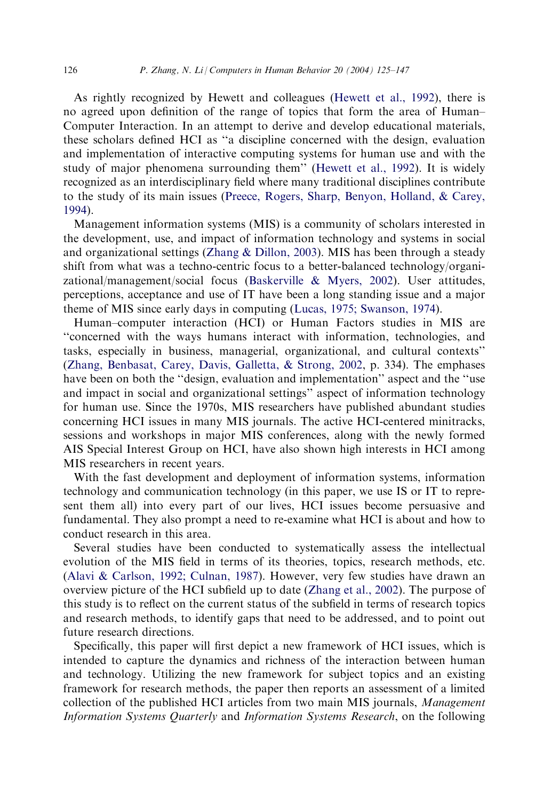As rightly recognized by Hewett and colleagues [\(Hewett et al., 1992](#page--1-0)), there is no agreed upon definition of the range of topics that form the area of Human– Computer Interaction. In an attempt to derive and develop educational materials, these scholars defined HCI as ''a discipline concerned with the design, evaluation and implementation of interactive computing systems for human use and with the study of major phenomena surrounding them'' [\(Hewett et al., 1992\)](#page--1-0). It is widely recognized as an interdisciplinary field where many traditional disciplines contribute to the study of its main issues [\(Preece, Rogers, Sharp, Benyon, Holland, & Carey,](#page--1-0) [1994\)](#page--1-0).

Management information systems (MIS) is a community of scholars interested in the development, use, and impact of information technology and systems in social and organizational settings [\(Zhang & Dillon, 2003](#page--1-0)). MIS has been through a steady shift from what was a techno-centric focus to a better-balanced technology/organizational/management/social focus [\(Baskerville & Myers, 2002](#page--1-0)). User attitudes, perceptions, acceptance and use of IT have been a long standing issue and a major theme of MISsince early days in computing ([Lucas, 1975; Swanson, 1974](#page--1-0)).

Human–computer interaction (HCI) or Human Factors studies in MIS are ''concerned with the ways humans interact with information, technologies, and tasks, especially in business, managerial, organizational, and cultural contexts'' [\(Zhang, Benbasat, Carey, Davis, Galletta, & Strong, 2002](#page--1-0), p. 334). The emphases have been on both the ''design, evaluation and implementation'' aspect and the ''use and impact in social and organizational settings'' aspect of information technology for human use. Since the 1970s, MIS researchers have published abundant studies concerning HCI issues in many MISjournals. The active HCI-centered minitracks, sessions and workshops in major MIS conferences, along with the newly formed AISSpecial Interest Group on HCI, have also shown high interests in HCI among MIS researchers in recent years.

With the fast development and deployment of information systems, information technology and communication technology (in this paper, we use ISor IT to represent them all) into every part of our lives, HCI issues become persuasive and fundamental. They also prompt a need to re-examine what HCI is about and how to conduct research in this area.

Several studies have been conducted to systematically assess the intellectual evolution of the MIS field in terms of its theories, topics, research methods, etc. [\(Alavi & Carlson, 1992; Culnan, 1987\)](#page--1-0). However, very few studies have drawn an overview picture of the HCI subfield up to date ([Zhang et al., 2002\)](#page--1-0). The purpose of this study is to reflect on the current status of the subfield in terms of research topics and research methods, to identify gaps that need to be addressed, and to point out future research directions.

Specifically, this paper will first depict a new framework of HCI issues, which is intended to capture the dynamics and richness of the interaction between human and technology. Utilizing the new framework for subject topics and an existing framework for research methods, the paper then reports an assessment of a limited collection of the published HCI articles from two main MIS journals, Management Information Systems Quarterly and Information Systems Research, on the following